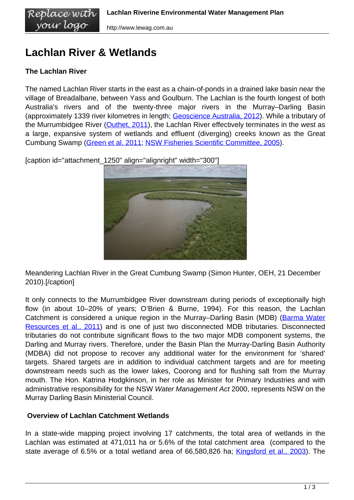# **Lachlan River & Wetlands**

# **The Lachlan River**

The named Lachlan River starts in the east as a chain-of-ponds in a drained lake basin near the village of Breadalbane, between Yass and Goulburn. The Lachlan is the fourth longest of both Australia's rivers and of the twenty-three major rivers in the Murray–Darling Basin (approximately 1339 river kilometres in length; [Geoscience Australia, 2012\)](http://www.ga.gov.au/education/geoscience-basics/landforms/longest-rivers.html). While a tributary of the Murrumbidgee River [\(Outhet, 2011\)](/wp-content/uploads/Lachlan_River_Styles_Draft_Report.doc), the Lachlan River effectively terminates in the west as a large, expansive system of wetlands and effluent (diverging) creeks known as the Great Cumbung Swamp [\(Green et al. 2011;](/wp-content/uploads/NoW_Lachlan_Catchment_Overview.pdf) [NSW Fisheries Scientific Committee, 2005\)](/wp-content/uploads/FSC_Lachlan_River_EEC.pdf).

[caption id="attachment\_1250" align="alignright" width="300"]



Meandering Lachlan River in the Great Cumbung Swamp (Simon Hunter, OEH, 21 December 2010).[/caption]

It only connects to the Murrumbidgee River downstream during periods of exceptionally high flow (in about 10–20% of years; O'Brien & Burne, 1994). For this reason, the Lachlan Catchment is considered a unique region in the Murray–Darling Basin (MDB) ([Barma Water](/wp-content/uploads/ewater-delivery-lachlan-river.docx) [Resources et al., 2011\)](/wp-content/uploads/ewater-delivery-lachlan-river.docx) and is one of just two disconnected MDB tributaries. Disconnected tributaries do not contribute significant flows to the two major MDB component systems, the Darling and Murray rivers. Therefore, under the Basin Plan the Murray-Darling Basin Authority (MDBA) did not propose to recover any additional water for the environment for 'shared' targets. Shared targets are in addition to individual catchment targets and are for meeting downstream needs such as the lower lakes, Coorong and for flushing salt from the Murray mouth. The Hon. Katrina Hodgkinson, in her role as Minister for Primary Industries and with administrative responsibility for the NSW Water Management Act 2000, represents NSW on the Murray Darling Basin Ministerial Council.

### **Overview of Lachlan Catchment Wetlands**

In a state-wide mapping project involving 17 catchments, the total area of wetlands in the Lachlan was estimated at 471,011 ha or 5.6% of the total catchment area (compared to the state average of 6.5% or a total wetland area of 66,580,826 ha; [Kingsford et al., 2003](/wp-content/uploads/Kingsford_et_al_2003_WetlandDistributionReport.pdf)). The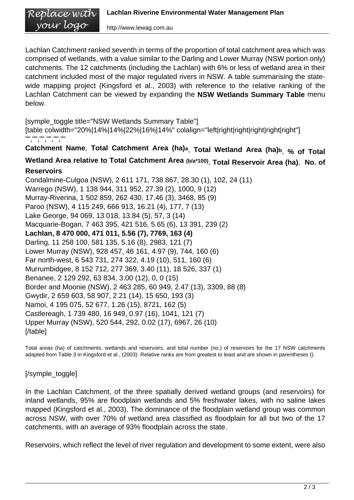Lachlan Catchment ranked seventh in terms of the proportion of total catchment area which was comprised of wetlands, with a value similar to the Darling and Lower Murray (NSW portion only) catchments. The 12 catchments (including the Lachlan) with 6% or less of wetland area in their catchment included most of the major regulated rivers in NSW. A table summarising the statewide mapping project (Kingsford et al., 2003) with reference to the relative ranking of the Lachlan Catchment can be viewed by expanding the **NSW Wetlands Summary Table** menu below.

[symple\_toggle title="NSW Wetlands Summary Table"] [table colwidth="20%|14%|14%|22%|16%|14%" colalign="left|right|right|right|right|right|right"] "","","","","",""

**Catchment Name**, **Total Catchment Area (ha)a**, **Total Wetland Area (ha)b**, **% of Total**

## **Wetland Area relative to Total Catchment Area (b/a\*100)** , **Total Reservoir Area (ha)**, **No. of Reservoirs**

Condalmine-Culgoa (NSW), 2 611 171, 738 867, 28.30 (1), 102, 24 (11) Warrego (NSW), 1 138 944, 311 952, 27.39 (2), 1000, 9 (12) Murray-Riverina, 1 502 859, 262 430, 17.46 (3), 3468, 85 (9) Paroo (NSW), 4 115 249, 666 913, 16.21 (4), 177, 7 (13) Lake George, 94 069, 13 018, 13.84 (5), 57, 3 (14) Macquarie-Bogan, 7 463 395, 421 516, 5.65 (6), 13 391, 239 (2) **Lachlan, 8 470 000, 471 011, 5.56 (7), 7769, 163 (4)** Darling, 11 258 100, 581 135, 5.16 (8), 2983, 121 (7) Lower Murray (NSW), 928 457, 46 161, 4.97 (9), 744, 160 (6) Far north-west, 6 543 731, 274 322, 4.19 (10), 511, 160 (6) Murrumbidgee, 8 152 712, 277 369, 3.40 (11), 18 526, 337 (1) Benanee, 2 129 292, 63 834, 3.00 (12), 0, 0 (15) Border and Moonie (NSW), 2 463 285, 60 949, 2.47 (13), 3309, 88 (8) Gwydir, 2 659 603, 58 907, 2.21 (14), 15 650, 193 (3) Namoi, 4 195 075, 52 677, 1.26 (15), 8721, 162 (5) Castlereagh, 1 739 480, 16 949, 0.97 (16), 1041, 121 (7) Upper Murray (NSW), 520 544, 292, 0.02 (17), 6967, 26 (10) [/table]

Total areas (ha) of catchments, wetlands and reservoirs, and total number (no.) of reservoirs for the 17 NSW catchments adapted from Table 3 in Kingsford et al., (2003). Relative ranks are from greatest to least and are shown in parentheses ().

[/symple\_toggle]

In the Lachlan Catchment, of the three spatially derived wetland groups (and reservoirs) for inland wetlands, 95% are floodplain wetlands and 5% freshwater lakes, with no saline lakes mapped (Kingsford et al., 2003). The dominance of the floodplain wetland group was common across NSW, with over 70% of wetland area classified as floodplain for all but two of the 17 catchments, with an average of 93% floodplain across the state.

Reservoirs, which reflect the level of river regulation and development to some extent, were also